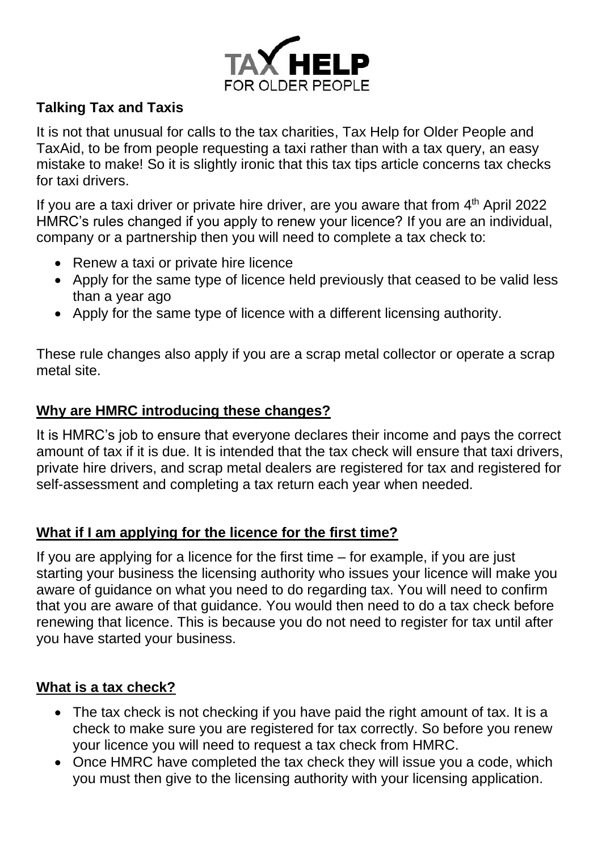

# **Talking Tax and Taxis**

It is not that unusual for calls to the tax charities, Tax Help for Older People and TaxAid, to be from people requesting a taxi rather than with a tax query, an easy mistake to make! So it is slightly ironic that this tax tips article concerns tax checks for taxi drivers.

If you are a taxi driver or private hire driver, are you aware that from  $4<sup>th</sup>$  April 2022 HMRC's rules changed if you apply to renew your licence? If you are an individual, company or a partnership then you will need to complete a tax check to:

- Renew a taxi or private hire licence
- Apply for the same type of licence held previously that ceased to be valid less than a year ago
- Apply for the same type of licence with a different licensing authority.

These rule changes also apply if you are a scrap metal collector or operate a scrap metal site.

## **Why are HMRC introducing these changes?**

It is HMRC's job to ensure that everyone declares their income and pays the correct amount of tax if it is due. It is intended that the tax check will ensure that taxi drivers, private hire drivers, and scrap metal dealers are registered for tax and registered for self-assessment and completing a tax return each year when needed.

### **What if I am applying for the licence for the first time?**

If you are applying for a licence for the first time – for example, if you are just starting your business the licensing authority who issues your licence will make you aware of guidance on what you need to do regarding tax. You will need to confirm that you are aware of that guidance. You would then need to do a tax check before renewing that licence. This is because you do not need to register for tax until after you have started your business.

### **What is a tax check?**

- The tax check is not checking if you have paid the right amount of tax. It is a check to make sure you are registered for tax correctly. So before you renew your licence you will need to request a tax check from HMRC.
- Once HMRC have completed the tax check they will issue you a code, which you must then give to the licensing authority with your licensing application.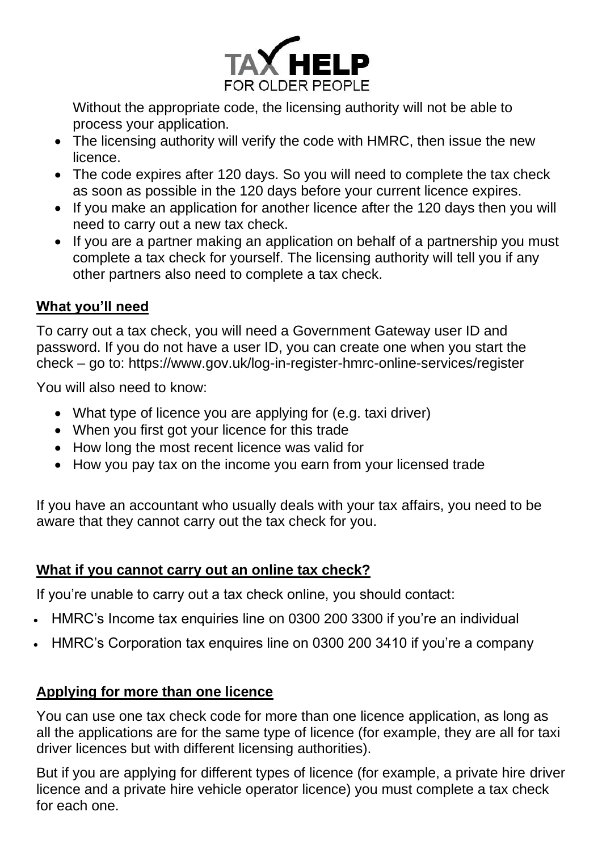

Without the appropriate code, the licensing authority will not be able to process your application.

- The licensing authority will verify the code with HMRC, then issue the new licence.
- The code expires after 120 days. So you will need to complete the tax check as soon as possible in the 120 days before your current licence expires.
- If you make an application for another licence after the 120 days then you will need to carry out a new tax check.
- If you are a partner making an application on behalf of a partnership you must complete a tax check for yourself. The licensing authority will tell you if any other partners also need to complete a tax check.

#### **What you'll need**

To carry out a tax check, you will need a Government Gateway user ID and password. If you do not have a user ID, you can create one when you start the check – go to: https://www.gov.uk/log-in-register-hmrc-online-services/register

You will also need to know:

- What type of licence you are applying for (e.g. taxi driver)
- When you first got your licence for this trade
- How long the most recent licence was valid for
- How you pay tax on the income you earn from your licensed trade

If you have an accountant who usually deals with your tax affairs, you need to be aware that they cannot carry out the tax check for you.

### **What if you cannot carry out an online tax check?**

If you're unable to carry out a tax check online, you should contact:

- HMRC's Income tax enquiries line on 0300 200 3300 if you're an individual
- HMRC's Corporation tax enquires line on 0300 200 3410 if you're a company

### **Applying for more than one licence**

You can use one tax check code for more than one licence application, as long as all the applications are for the same type of licence (for example, they are all for taxi driver licences but with different licensing authorities).

But if you are applying for different types of licence (for example, a private hire driver licence and a private hire vehicle operator licence) you must complete a tax check for each one.